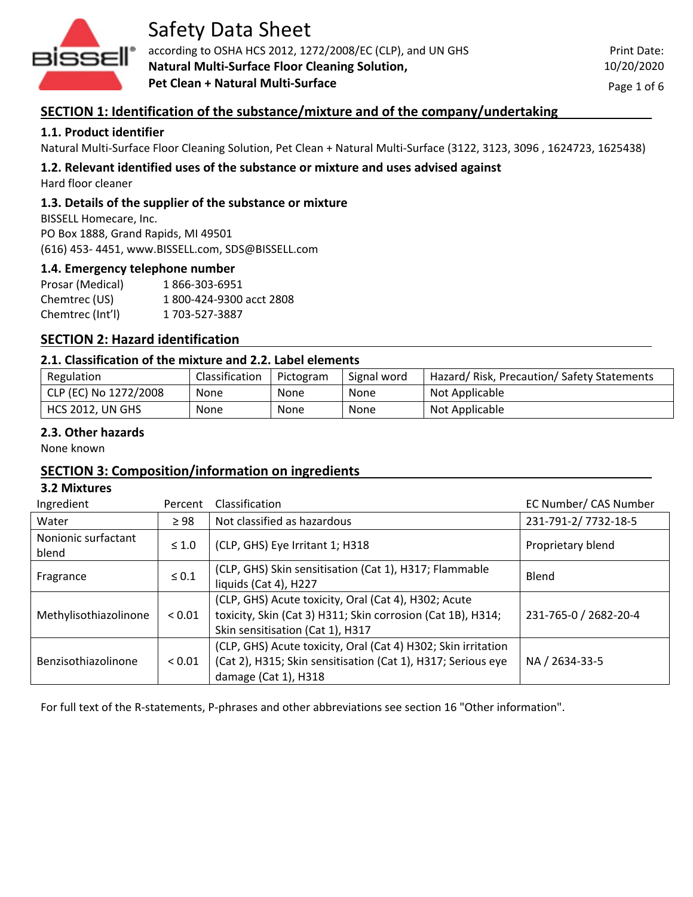

according to OSHA HCS 2012, 1272/2008/EC (CLP), and UN GHS **Natural Multi-Surface Floor Cleaning Solution, Pet Clean + Natural Multi-Surface**

Print Date: 10/20/2020

Page 1 of 6

## **SECTION 1: Identification of the substance/mixture and of the company/undertaking**

### **1.1. Product identifier**

Natural Multi-Surface Floor Cleaning Solution, Pet Clean + Natural Multi-Surface (3122, 3123, 3096 , 1624723, 1625438)

# **1.2. Relevant identified uses of the substance or mixture and uses advised against**

Hard floor cleaner

#### **1.3. Details of the supplier of the substance or mixture**

BISSELL Homecare, Inc. PO Box 1888, Grand Rapids, MI 49501 (616) 453- 4451, www.BISSELL.com, SDS@BISSELL.com

#### **1.4. Emergency telephone number**

Prosar (Medical) 1 866-303-6951 Chemtrec (US) 1 800-424-9300 acct 2808 Chemtrec (Int'l) 1 703-527-3887

## **SECTION 2: Hazard identification**

#### **2.1. Classification of the mixture and 2.2. Label elements**

| Regulation              | Classification | Pictogram | Signal word | Hazard/Risk, Precaution/Safety Statements |
|-------------------------|----------------|-----------|-------------|-------------------------------------------|
| CLP (EC) No 1272/2008   | None           | None      | None        | Not Applicable                            |
| <b>HCS 2012, UN GHS</b> | None           | None      | None        | Not Applicable                            |

#### **2.3. Other hazards**

None known

## **SECTION 3: Composition/information on ingredients**

#### **3.2 Mixtures**

| Ingredient                   | Percent     | Classification                                                                                                                                          | EC Number/ CAS Number |
|------------------------------|-------------|---------------------------------------------------------------------------------------------------------------------------------------------------------|-----------------------|
| Water                        | $\geq$ 98   | Not classified as hazardous                                                                                                                             | 231-791-2/7732-18-5   |
| Nonionic surfactant<br>blend | $\leq 1.0$  | (CLP, GHS) Eye Irritant 1; H318                                                                                                                         | Proprietary blend     |
| Fragrance                    | $\leq 0.1$  | (CLP, GHS) Skin sensitisation (Cat 1), H317; Flammable<br>liquids (Cat 4), H227                                                                         | Blend                 |
| Methylisothiazolinone        | ${}_{0.01}$ | (CLP, GHS) Acute toxicity, Oral (Cat 4), H302; Acute<br>toxicity, Skin (Cat 3) H311; Skin corrosion (Cat 1B), H314;<br>Skin sensitisation (Cat 1), H317 | 231-765-0 / 2682-20-4 |
| Benzisothiazolinone          | ${}_{0.01}$ | (CLP, GHS) Acute toxicity, Oral (Cat 4) H302; Skin irritation<br>(Cat 2), H315; Skin sensitisation (Cat 1), H317; Serious eye<br>damage (Cat 1), H318   | NA / 2634-33-5        |

For full text of the R-statements, P-phrases and other abbreviations see section 16 "Other information".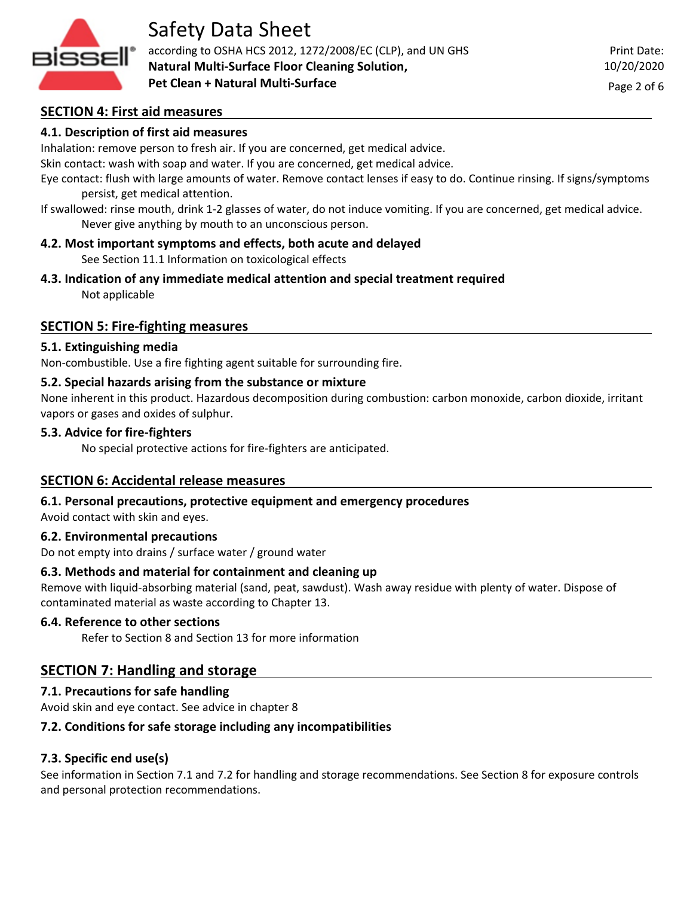

according to OSHA HCS 2012, 1272/2008/EC (CLP), and UN GHS **Natural Multi-Surface Floor Cleaning Solution, Pet Clean + Natural Multi-Surface**

Page 2 of 6

#### **SECTION 4: First aid measures**

#### **4.1. Description of first aid measures**

Inhalation: remove person to fresh air. If you are concerned, get medical advice.

Skin contact: wash with soap and water. If you are concerned, get medical advice.

Eye contact: flush with large amounts of water. Remove contact lenses if easy to do. Continue rinsing. If signs/symptoms persist, get medical attention.

If swallowed: rinse mouth, drink 1-2 glasses of water, do not induce vomiting. If you are concerned, get medical advice. Never give anything by mouth to an unconscious person.

#### **4.2. Most important symptoms and effects, both acute and delayed**

See Section 11.1 Information on toxicological effects

- **4.3. Indication of any immediate medical attention and special treatment required**
	- Not applicable

#### **SECTION 5: Fire-fighting measures**

#### **5.1. Extinguishing media**

Non-combustible. Use a fire fighting agent suitable for surrounding fire.

#### **5.2. Special hazards arising from the substance or mixture**

None inherent in this product. Hazardous decomposition during combustion: carbon monoxide, carbon dioxide, irritant vapors or gases and oxides of sulphur.

#### **5.3. Advice for fire-fighters**

No special protective actions for fire-fighters are anticipated.

#### **SECTION 6: Accidental release measures**

#### **6.1. Personal precautions, protective equipment and emergency procedures**

Avoid contact with skin and eyes.

#### **6.2. Environmental precautions**

Do not empty into drains / surface water / ground water

#### **6.3. Methods and material for containment and cleaning up**

Remove with liquid-absorbing material (sand, peat, sawdust). Wash away residue with plenty of water. Dispose of contaminated material as waste according to Chapter 13.

#### **6.4. Reference to other sections**

Refer to Section 8 and Section 13 for more information

#### **SECTION 7: Handling and storage**

#### **7.1. Precautions for safe handling**

Avoid skin and eye contact. See advice in chapter 8

#### **7.2. Conditions for safe storage including any incompatibilities**

#### **7.3. Specific end use(s)**

See information in Section 7.1 and 7.2 for handling and storage recommendations. See Section 8 for exposure controls and personal protection recommendations.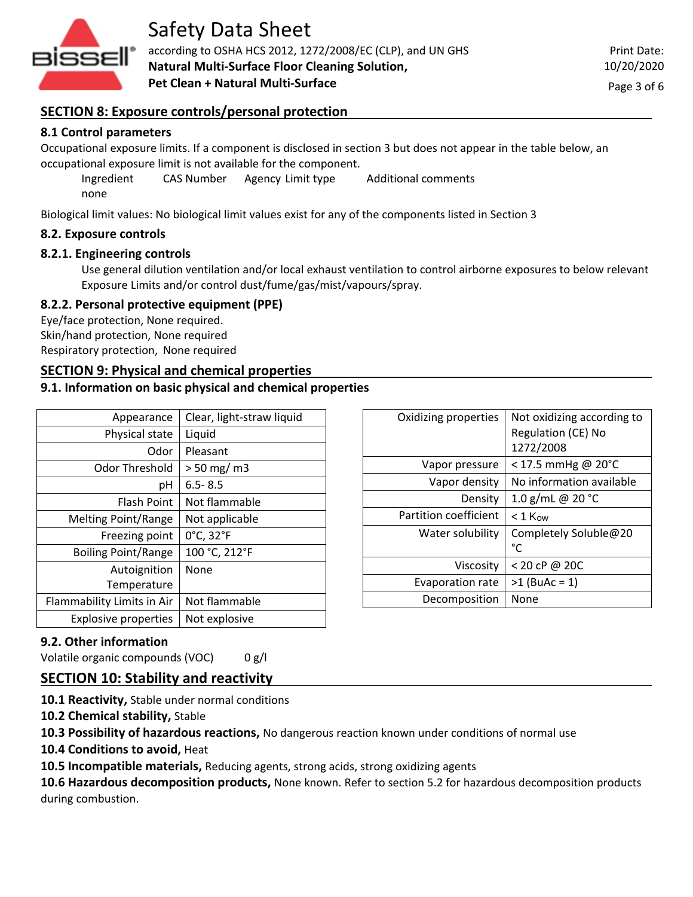

according to OSHA HCS 2012, 1272/2008/EC (CLP), and UN GHS **Natural Multi-Surface Floor Cleaning Solution, Pet Clean + Natural Multi-Surface**

### **SECTION 8: Exposure controls/personal protection**

#### **8.1 Control parameters**

Occupational exposure limits. If a component is disclosed in section 3 but does not appear in the table below, an occupational exposure limit is not available for the component.

Ingredient CAS Number Agency Limit type Additional comments none

Biological limit values: No biological limit values exist for any of the components listed in Section 3

#### **8.2. Exposure controls**

#### **8.2.1. Engineering controls**

Use general dilution ventilation and/or local exhaust ventilation to control airborne exposures to below relevant Exposure Limits and/or control dust/fume/gas/mist/vapours/spray.

#### **8.2.2. Personal protective equipment (PPE)**

Eye/face protection, None required. Skin/hand protection, None required Respiratory protection, None required

#### **SECTION 9: Physical and chemical properties**

#### **9.1. Information on basic physical and chemical properties**

| Appearance                  | Clear, light-straw liquid |
|-----------------------------|---------------------------|
| Physical state              | Liquid                    |
| Odor                        | Pleasant                  |
| Odor Threshold              | $> 50$ mg/m3              |
| рH                          | $6.5 - 8.5$               |
| <b>Flash Point</b>          | Not flammable             |
| <b>Melting Point/Range</b>  | Not applicable            |
| Freezing point              | 0°C, 32°F                 |
| <b>Boiling Point/Range</b>  | 100 °C, 212°F             |
| Autoignition                | None                      |
| Temperature                 |                           |
| Flammability Limits in Air  | Not flammable             |
| <b>Explosive properties</b> | Not explosive             |

| Oxidizing properties  | Not oxidizing according to<br>Regulation (CE) No<br>1272/2008 |
|-----------------------|---------------------------------------------------------------|
| Vapor pressure        | $<$ 17.5 mmHg @ 20°C                                          |
| Vapor density         | No information available                                      |
| Density               | 1.0 g/mL @ 20 °C                                              |
| Partition coefficient | $<$ 1 Kow                                                     |
| Water solubility      | Completely Soluble@20<br>°C                                   |
| Viscosity             | < 20 cP @ 20C                                                 |
| Evaporation rate      | $>1$ (BuAc = 1)                                               |
| Decomposition         | None                                                          |

#### **9.2. Other information**

Volatile organic compounds (VOC) 0 g/l

## **SECTION 10: Stability and reactivity**

**10.1 Reactivity,** Stable under normal conditions

**10.2 Chemical stability,** Stable

**10.3 Possibility of hazardous reactions,** No dangerous reaction known under conditions of normal use

**10.4 Conditions to avoid,** Heat

**10.5 Incompatible materials,** Reducing agents, strong acids, strong oxidizing agents

**10.6 Hazardous decomposition products,** None known. Refer to section 5.2 for hazardous decomposition products during combustion.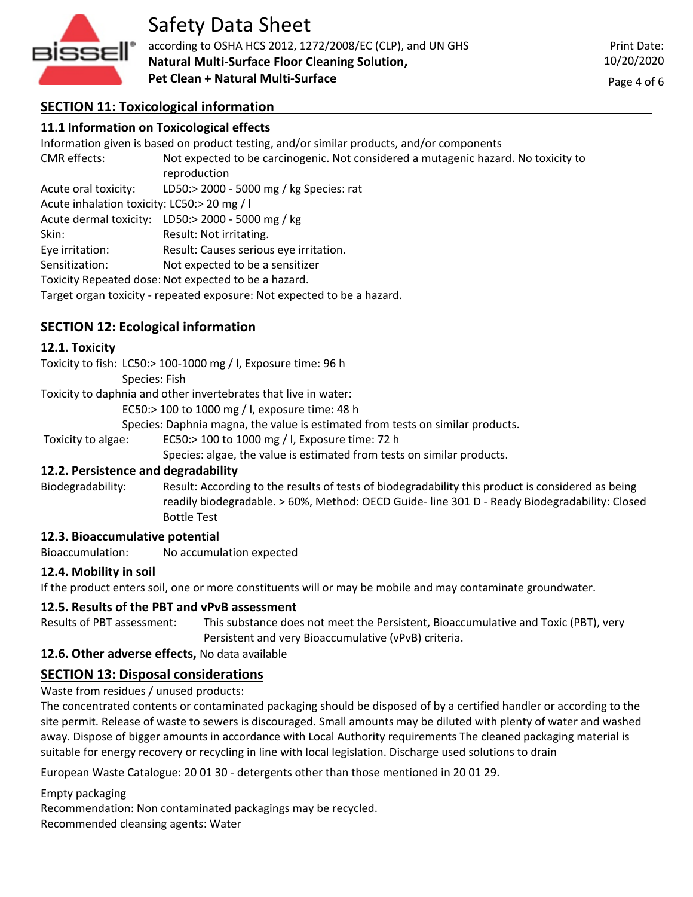

according to OSHA HCS 2012, 1272/2008/EC (CLP), and UN GHS **Natural Multi-Surface Floor Cleaning Solution, Pet Clean + Natural Multi-Surface**

Print Date: 10/20/2020

Page 4 of 6

# **SECTION 11: Toxicological information**

| 11.1 Information on Toxicological effects   |                                                                                           |  |  |  |
|---------------------------------------------|-------------------------------------------------------------------------------------------|--|--|--|
|                                             | Information given is based on product testing, and/or similar products, and/or components |  |  |  |
| <b>CMR</b> effects:                         | Not expected to be carcinogenic. Not considered a mutagenic hazard. No toxicity to        |  |  |  |
|                                             | reproduction                                                                              |  |  |  |
| Acute oral toxicity:                        | LD50:> 2000 - 5000 mg / kg Species: rat                                                   |  |  |  |
| Acute inhalation toxicity: LC50:> 20 mg / I |                                                                                           |  |  |  |
|                                             | Acute dermal toxicity: LD50:> 2000 - 5000 mg / kg                                         |  |  |  |
| Skin:                                       | Result: Not irritating.                                                                   |  |  |  |
| Eye irritation:                             | Result: Causes serious eye irritation.                                                    |  |  |  |
| Sensitization:                              | Not expected to be a sensitizer                                                           |  |  |  |
|                                             | Toxicity Repeated dose: Not expected to be a hazard.                                      |  |  |  |
|                                             | Target organ toxicity - repeated exposure: Not expected to be a hazard.                   |  |  |  |

## **SECTION 12: Ecological information**

#### **12.1. Toxicity**

Toxicity to fish: LC50:> 100-1000 mg / l, Exposure time: 96 h

Species: Fish

Toxicity to daphnia and other invertebrates that live in water:

EC50:> 100 to 1000 mg / l, exposure time: 48 h

Species: Daphnia magna, the value is estimated from tests on similar products.

Toxicity to algae: EC50:> 100 to 1000 mg / l, Exposure time: 72 h

Species: algae, the value is estimated from tests on similar products.

#### **12.2. Persistence and degradability**

Biodegradability: Result: According to the results of tests of biodegradability this product is considered as being readily biodegradable. > 60%, Method: OECD Guide- line 301 D - Ready Biodegradability: Closed Bottle Test

#### **12.3. Bioaccumulative potential**

Bioaccumulation: No accumulation expected

#### **12.4. Mobility in soil**

If the product enters soil, one or more constituents will or may be mobile and may contaminate groundwater.

#### **12.5. Results of the PBT and vPvB assessment**

Results of PBT assessment: This substance does not meet the Persistent, Bioaccumulative and Toxic (PBT), very Persistent and very Bioaccumulative (vPvB) criteria.

#### **12.6. Other adverse effects,** No data available

## **SECTION 13: Disposal considerations**

Waste from residues / unused products:

The concentrated contents or contaminated packaging should be disposed of by a certified handler or according to the site permit. Release of waste to sewers is discouraged. Small amounts may be diluted with plenty of water and washed away. Dispose of bigger amounts in accordance with Local Authority requirements The cleaned packaging material is suitable for energy recovery or recycling in line with local legislation. Discharge used solutions to drain

European Waste Catalogue: 20 01 30 - detergents other than those mentioned in 20 01 29.

Empty packaging

Recommendation: Non contaminated packagings may be recycled.

Recommended cleansing agents: Water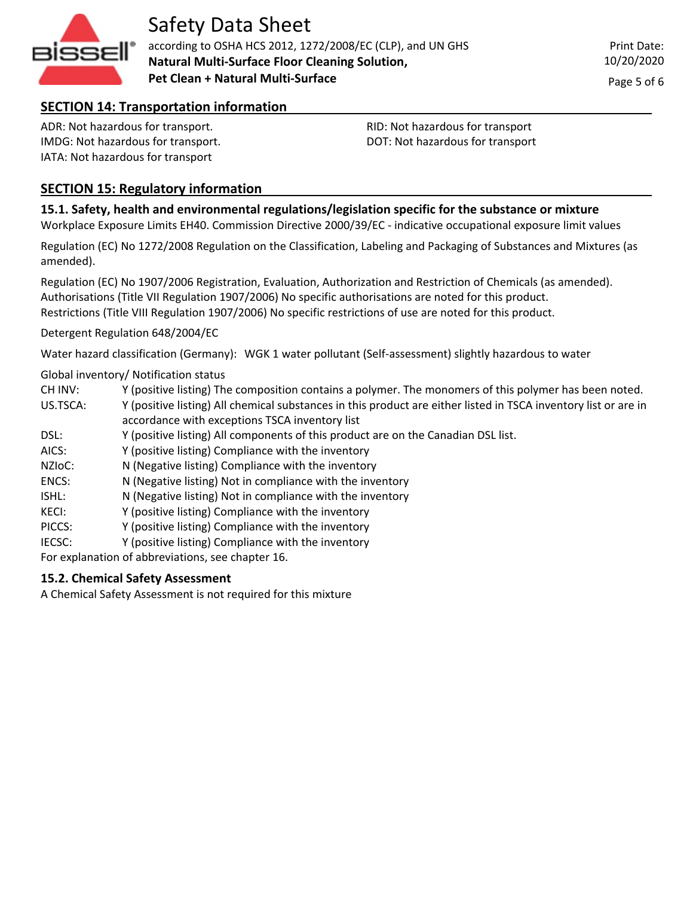

according to OSHA HCS 2012, 1272/2008/EC (CLP), and UN GHS **Natural Multi-Surface Floor Cleaning Solution, Pet Clean + Natural Multi-Surface**

# **SECTION 14: Transportation information**

ADR: Not hazardous for transport. IMDG: Not hazardous for transport. IATA: Not hazardous for transport

RID: Not hazardous for transport DOT: Not hazardous for transport

# **SECTION 15: Regulatory information**

### **15.1. Safety, health and environmental regulations/legislation specific for the substance or mixture**

Workplace Exposure Limits EH40. Commission Directive 2000/39/EC - indicative occupational exposure limit values

Regulation (EC) No 1272/2008 Regulation on the Classification, Labeling and Packaging of Substances and Mixtures (as amended).

Regulation (EC) No 1907/2006 Registration, Evaluation, Authorization and Restriction of Chemicals (as amended). Authorisations (Title VII Regulation 1907/2006) No specific authorisations are noted for this product. Restrictions (Title VIII Regulation 1907/2006) No specific restrictions of use are noted for this product.

Detergent Regulation 648/2004/EC

Water hazard classification (Germany): WGK 1 water pollutant (Self-assessment) slightly hazardous to water

#### Global inventory/ Notification status

- CH INV: Y (positive listing) The composition contains a polymer. The monomers of this polymer has been noted.
- US.TSCA: Y (positive listing) All chemical substances in this product are either listed in TSCA inventory list or are in accordance with exceptions TSCA inventory list
- DSL: Y (positive listing) All components of this product are on the Canadian DSL list.
- AICS: Y (positive listing) Compliance with the inventory
- NZIoC: N (Negative listing) Compliance with the inventory
- ENCS: N (Negative listing) Not in compliance with the inventory
- ISHL: N (Negative listing) Not in compliance with the inventory
- KECI: Y (positive listing) Compliance with the inventory
- PICCS: Y (positive listing) Compliance with the inventory
- IECSC: Y (positive listing) Compliance with the inventory
- For explanation of abbreviations, see chapter 16.

#### **15.2. Chemical Safety Assessment**

A Chemical Safety Assessment is not required for this mixture